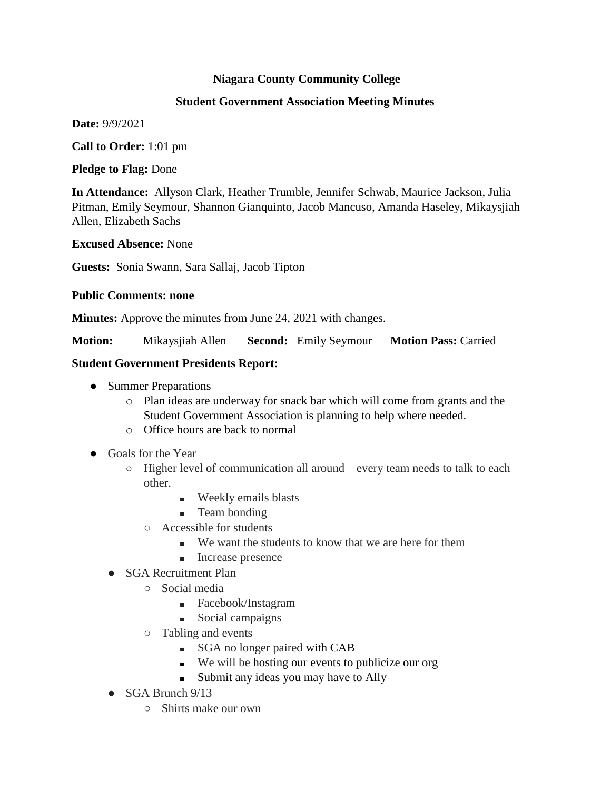## **Niagara County Community College**

#### **Student Government Association Meeting Minutes**

**Date:** 9/9/2021

**Call to Order:** 1:01 pm

**Pledge to Flag:** Done

**In Attendance:** Allyson Clark, Heather Trumble, Jennifer Schwab, Maurice Jackson, Julia Pitman, Emily Seymour, Shannon Gianquinto, Jacob Mancuso, Amanda Haseley, Mikaysjiah Allen, Elizabeth Sachs

**Excused Absence:** None

**Guests:** Sonia Swann, Sara Sallaj, Jacob Tipton

#### **Public Comments: none**

**Minutes:** Approve the minutes from June 24, 2021 with changes.

**Motion:** Mikaysjiah Allen **Second:** Emily Seymour **Motion Pass:** Carried

### **Student Government Presidents Report:**

- Summer Preparations
	- o Plan ideas are underway for snack bar which will come from grants and the Student Government Association is planning to help where needed.
	- o Office hours are back to normal
- Goals for the Year
	- Higher level of communication all around every team needs to talk to each other.
		- Weekly emails blasts
		- Team bonding
		- Accessible for students
			- We want the students to know that we are here for them
			- Increase presence
	- SGA Recruitment Plan
		- Social media
			- Facebook/Instagram
			- Social campaigns
		- Tabling and events
			- SGA no longer paired with CAB
			- We will be hosting our events to publicize our org
			- Submit any ideas you may have to Ally
	- $\bullet$  SGA Brunch 9/13
		- Shirts make our own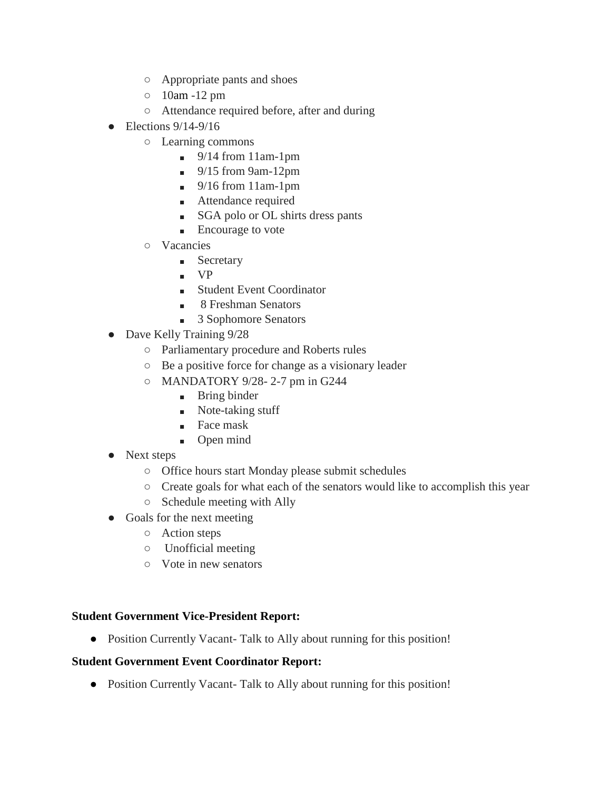- Appropriate pants and shoes
- 10am -12 pm
- Attendance required before, after and during
- $\bullet$  Elections 9/14-9/16
	- Learning commons
		- $\blacksquare$  9/14 from 11am-1pm
		- $\blacksquare$  9/15 from 9am-12pm
		- $\blacksquare$  9/16 from 11am-1pm
		- Attendance required
		- SGA polo or OL shirts dress pants
		- Encourage to vote
	- Vacancies
		- Secretary
		- VP
		- Student Event Coordinator
		- 8 Freshman Senators
		- 3 Sophomore Senators
- Dave Kelly Training  $9/28$ 
	- Parliamentary procedure and Roberts rules
	- Be a positive force for change as a visionary leader
	- MANDATORY 9/28- 2-7 pm in G244
		- Bring binder
		- Note-taking stuff
		- Face mask
		- Open mind
- Next steps
	- Office hours start Monday please submit schedules
	- Create goals for what each of the senators would like to accomplish this year
	- Schedule meeting with Ally
- Goals for the next meeting
	- Action steps
	- Unofficial meeting
	- Vote in new senators

## **Student Government Vice-President Report:**

● Position Currently Vacant- Talk to Ally about running for this position!

## **Student Government Event Coordinator Report:**

● Position Currently Vacant- Talk to Ally about running for this position!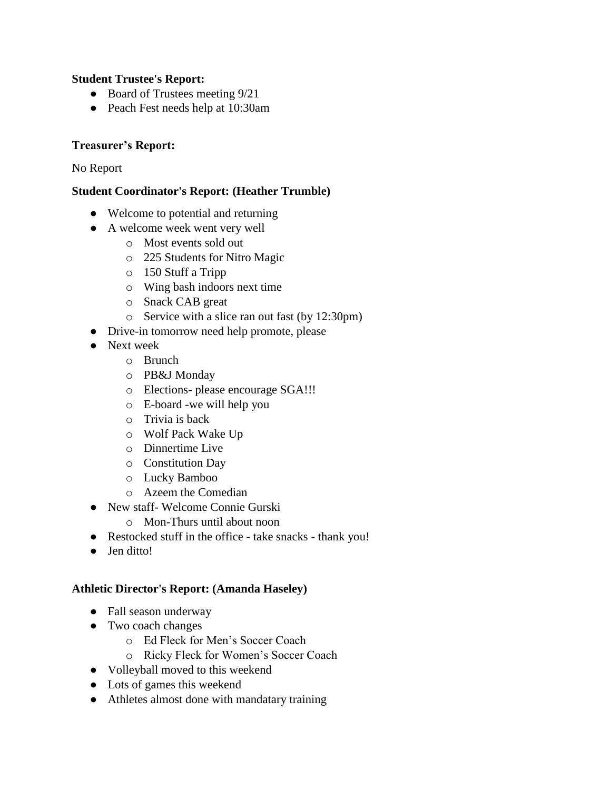### **Student Trustee's Report:**

- Board of Trustees meeting  $9/21$
- Peach Fest needs help at 10:30am

### **Treasurer's Report:**

No Report

### **Student Coordinator's Report: (Heather Trumble)**

- Welcome to potential and returning
- A welcome week went very well
	- o Most events sold out
	- o 225 Students for Nitro Magic
	- o 150 Stuff a Tripp
	- o Wing bash indoors next time
	- o Snack CAB great
	- o Service with a slice ran out fast (by 12:30pm)
- Drive-in tomorrow need help promote, please
- Next week
	- o Brunch
	- o PB&J Monday
	- o Elections- please encourage SGA!!!
	- o E-board -we will help you
	- o Trivia is back
	- o Wolf Pack Wake Up
	- o Dinnertime Live
	- o Constitution Day
	- o Lucky Bamboo
	- o Azeem the Comedian
- New staff- Welcome Connie Gurski
	- o Mon-Thurs until about noon
- Restocked stuff in the office take snacks thank you!
- Jen ditto!

#### **Athletic Director's Report: (Amanda Haseley)**

- Fall season underway
- Two coach changes
	- o Ed Fleck for Men's Soccer Coach
	- o Ricky Fleck for Women's Soccer Coach
- Volleyball moved to this weekend
- Lots of games this weekend
- Athletes almost done with mandatary training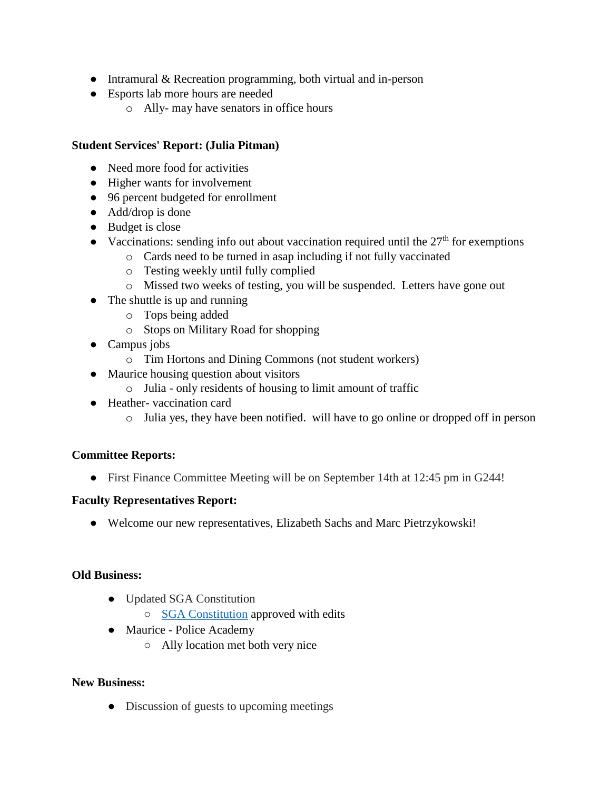- Intramural & Recreation programming, both virtual and in-person
- Esports lab more hours are needed
	- o Ally- may have senators in office hours

## **Student Services' Report: (Julia Pitman)**

- Need more food for activities
- Higher wants for involvement
- 96 percent budgeted for enrollment
- Add/drop is done
- Budget is close
- Vaccinations: sending info out about vaccination required until the  $27<sup>th</sup>$  for exemptions
	- o Cards need to be turned in asap including if not fully vaccinated
	- o Testing weekly until fully complied
	- o Missed two weeks of testing, you will be suspended. Letters have gone out
- The shuttle is up and running
	- o Tops being added
	- o Stops on Military Road for shopping
- Campus jobs
	- o Tim Hortons and Dining Commons (not student workers)
- Maurice housing question about visitors
	- o Julia only residents of housing to limit amount of traffic
- Heather-vaccination card
	- o Julia yes, they have been notified. will have to go online or dropped off in person

## **Committee Reports:**

● First Finance Committee Meeting will be on September 14th at 12:45 pm in G244!

## **Faculty Representatives Report:**

• Welcome our new representatives, Elizabeth Sachs and Marc Pietrzykowski!

#### **Old Business:**

- Updated SGA Constitution
	- [SGA Constitution](https://docs.google.com/document/d/1ss3z-h--yBjN3T83SGK36bukTbGTwXuWSu-S7jKvpOM/edit) approved with edits
- Maurice Police Academy
	- Ally location met both very nice

## **New Business:**

• Discussion of guests to upcoming meetings